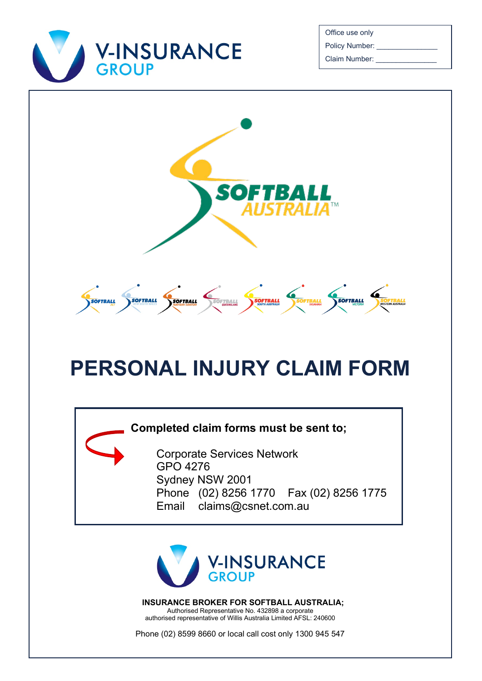

Office use only Policy Number:

Claim Number:



# **PERSONAL INJURY CLAIM FORM**

### **Completed claim forms must be sent to;**

Corporate Services Network GPO 4276 Sydney NSW 2001 Phone (02) 8256 1770 Fax (02) 8256 1775 Email claims@csnet.com.au



**INSURANCE BROKER FOR SOFTBALL AUSTRALIA;** Authorised Representative No. 432898 a corporate authorised representative of Willis Australia Limited AFSL: 240600

Phone (02) 8599 8660 or local call cost only 1300 945 547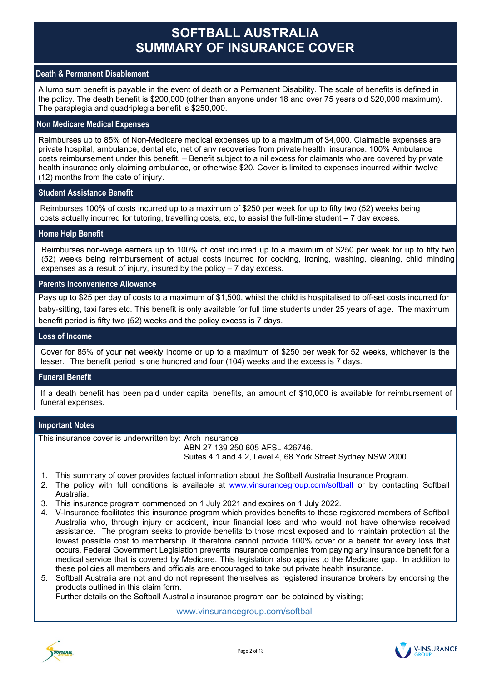## **SOFTBALL AUSTRALIA SUMMARY OF INSURANCE COVER**

#### **Death & Permanent Disablement**

A lump sum benefit is payable in the event of death or a Permanent Disability. The scale of benefits is defined in the policy. The death benefit is \$200,000 (other than anyone under 18 and over 75 years old \$20,000 maximum). The paraplegia and quadriplegia benefit is \$250,000.

#### **Non Medicare Medical Expenses**

Reimburses up to 85% of Non-Medicare medical expenses up to a maximum of \$4,000. Claimable expenses are private hospital, ambulance, dental etc, net of any recoveries from private health insurance. 100% Ambulance costs reimbursement under this benefit. – Benefit subject to a nil excess for claimants who are covered by private health insurance only claiming ambulance, or otherwise \$20. Cover is limited to expenses incurred within twelve (12) months from the date of injury.

#### **Student Assistance Benefit**

Reimburses 100% of costs incurred up to a maximum of \$250 per week for up to fifty two (52) weeks being costs actually incurred for tutoring, travelling costs, etc, to assist the full-time student – 7 day excess.

#### **Home Help Benefit**

Reimburses non-wage earners up to 100% of cost incurred up to a maximum of \$250 per week for up to fifty two (52) weeks being reimbursement of actual costs incurred for cooking, ironing, washing, cleaning, child minding expenses as a result of injury, insured by the policy – 7 day excess.

#### **Parents Inconvenience Allowance**

Pays up to \$25 per day of costs to a maximum of \$1,500, whilst the child is hospitalised to off-set costs incurred for baby-sitting, taxi fares etc. This benefit is only available for full time students under 25 years of age. The maximum benefit period is fifty two (52) weeks and the policy excess is 7 days.

#### **Loss of Income**

Cover for 85% of your net weekly income or up to a maximum of \$250 per week for 52 weeks, whichever is the lesser. The benefit period is one hundred and four (104) weeks and the excess is 7 days.

#### **Funeral Benefit**

If a death benefit has been paid under capital benefits, an amount of \$10,000 is available for reimbursement of funeral expenses.

#### **Important Notes**

This insurance cover is underwritten by: Arch Insurance ABN 27 139 250 605 AFSL 426746.

Suites 4.1 and 4.2, Level 4, 68 York Street Sydney NSW 2000

- 1. This summary of cover provides factual information about the Softball Australia Insurance Program.
- 2. The policy with full conditions is available at [www.vinsurancegroup.com/softball](http://www.vinsurancegroup.com/softball) or by contacting Softball Australia.
- 3. This insurance program commenced on 1 July 2021 and expires on 1 July 2022.
- 4. V-Insurance facilitates this insurance program which provides benefits to those registered members of Softball Australia who, through injury or accident, incur financial loss and who would not have otherwise received assistance. The program seeks to provide benefits to those most exposed and to maintain protection at the lowest possible cost to membership. It therefore cannot provide 100% cover or a benefit for every loss that occurs. Federal Government Legislation prevents insurance companies from paying any insurance benefit for a medical service that is covered by Medicare. This legislation also applies to the Medicare gap. In addition to these policies all members and officials are encouraged to take out private health insurance.

5. Softball Australia are not and do not represent themselves as registered insurance brokers by endorsing the products outlined in this claim form. Further details on the Softball Australia insurance program can be obtained by visiting;

www.vinsurancegroup.com/softball

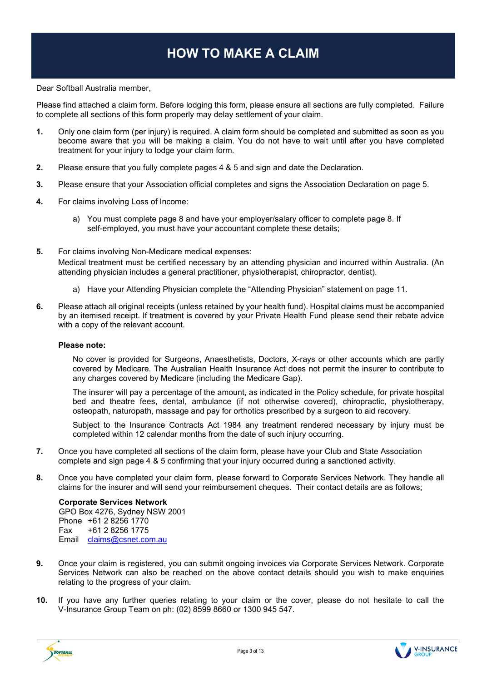# **HOW TO MAKE A CLAIM**

Dear Softball Australia member,

Please find attached a claim form. Before lodging this form, please ensure all sections are fully completed. Failure to complete all sections of this form properly may delay settlement of your claim.

- **1.** Only one claim form (per injury) is required. A claim form should be completed and submitted as soon as you become aware that you will be making a claim. You do not have to wait until after you have completed treatment for your injury to lodge your claim form.
- **2.** Please ensure that you fully complete pages 4 & 5 and sign and date the Declaration.
- **3.** Please ensure that your Association official completes and signs the Association Declaration on page 5.
- **4.** For claims involving Loss of Income:
	- a) You must complete page 8 and have your employer/salary officer to complete page 8. If self-employed, you must have your accountant complete these details;
- **5.** For claims involving Non-Medicare medical expenses: Medical treatment must be certified necessary by an attending physician and incurred within Australia. (An attending physician includes a general practitioner, physiotherapist, chiropractor, dentist).
	- a) Have your Attending Physician complete the "Attending Physician" statement on page 11.
- **6.** Please attach all original receipts (unless retained by your health fund). Hospital claims must be accompanied by an itemised receipt. If treatment is covered by your Private Health Fund please send their rebate advice with a copy of the relevant account.

#### **Please note:**

No cover is provided for Surgeons, Anaesthetists, Doctors, X-rays or other accounts which are partly covered by Medicare. The Australian Health Insurance Act does not permit the insurer to contribute to any charges covered by Medicare (including the Medicare Gap).

The insurer will pay a percentage of the amount, as indicated in the Policy schedule, for private hospital bed and theatre fees, dental, ambulance (if not otherwise covered), chiropractic, physiotherapy, osteopath, naturopath, massage and pay for orthotics prescribed by a surgeon to aid recovery.

Subject to the Insurance Contracts Act 1984 any treatment rendered necessary by injury must be completed within 12 calendar months from the date of such injury occurring.

- **7.** Once you have completed all sections of the claim form, please have your Club and State Association complete and sign page 4 & 5 confirming that your injury occurred during a sanctioned activity.
- **8.** Once you have completed your claim form, please forward to Corporate Services Network. They handle all claims for the insurer and will send your reimbursement cheques. Their contact details are as follows;

#### **Corporate Services Network**

GPO Box 4276, Sydney NSW 2001 Phone +61 2 8256 1770 Fax +61 2 8256 1775 Email [claims@csnet.com.au](mailto:claims@csnet.com.au)

- **9.** Once your claim is registered, you can submit ongoing invoices via Corporate Services Network. Corporate Services Network can also be reached on the above contact details should you wish to make enquiries relating to the progress of your claim.
- **10.** If you have any further queries relating to your claim or the cover, please do not hesitate to call the V-Insurance Group Team on ph: (02) 8599 8660 or 1300 945 547.





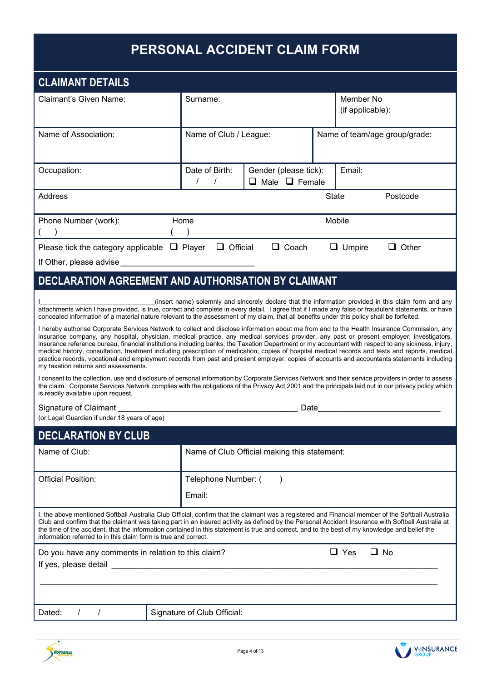# **PERSONAL ACCIDENT CLAIM FORM**

| <b>CLAIMANT DETAILS</b>                                                                                                                                                                                                                                                                                                                                                                                                                                                                                                                                                                                                                                                                                                                                                                   |                                              |                                                    |                               |                                                                                                       |
|-------------------------------------------------------------------------------------------------------------------------------------------------------------------------------------------------------------------------------------------------------------------------------------------------------------------------------------------------------------------------------------------------------------------------------------------------------------------------------------------------------------------------------------------------------------------------------------------------------------------------------------------------------------------------------------------------------------------------------------------------------------------------------------------|----------------------------------------------|----------------------------------------------------|-------------------------------|-------------------------------------------------------------------------------------------------------|
| Claimant's Given Name:                                                                                                                                                                                                                                                                                                                                                                                                                                                                                                                                                                                                                                                                                                                                                                    | Surname:                                     |                                                    | Member No<br>(if applicable): |                                                                                                       |
| Name of Association:                                                                                                                                                                                                                                                                                                                                                                                                                                                                                                                                                                                                                                                                                                                                                                      | Name of Club / League:                       |                                                    |                               | Name of team/age group/grade:                                                                         |
| Occupation:                                                                                                                                                                                                                                                                                                                                                                                                                                                                                                                                                                                                                                                                                                                                                                               | Date of Birth:                               | Gender (please tick):<br>$\Box$ Male $\Box$ Female | Email:                        |                                                                                                       |
| Address                                                                                                                                                                                                                                                                                                                                                                                                                                                                                                                                                                                                                                                                                                                                                                                   |                                              |                                                    | <b>State</b>                  | Postcode                                                                                              |
| Phone Number (work):                                                                                                                                                                                                                                                                                                                                                                                                                                                                                                                                                                                                                                                                                                                                                                      | Home                                         |                                                    | Mobile                        |                                                                                                       |
| Please tick the category applicable $\Box$ Player $\Box$ Official                                                                                                                                                                                                                                                                                                                                                                                                                                                                                                                                                                                                                                                                                                                         |                                              | $\Box$ Coach                                       | $\Box$ Umpire                 | $\Box$ Other                                                                                          |
| If Other, please advise <b>contained</b>                                                                                                                                                                                                                                                                                                                                                                                                                                                                                                                                                                                                                                                                                                                                                  |                                              |                                                    |                               |                                                                                                       |
| DECLARATION AGREEMENT AND AUTHORISATION BY CLAIMANT                                                                                                                                                                                                                                                                                                                                                                                                                                                                                                                                                                                                                                                                                                                                       |                                              |                                                    |                               |                                                                                                       |
| attachments which I have provided, is true, correct and complete in every detail. I agree that if I made any false or fraudulent statements, or have<br>concealed information of a material nature relevant to the assessment of my claim, that all benefits under this policy shall be forfeited.                                                                                                                                                                                                                                                                                                                                                                                                                                                                                        |                                              |                                                    |                               | (insert name) solemnly and sincerely declare that the information provided in this claim form and any |
| I hereby authorise Corporate Services Network to collect and disclose information about me from and to the Health Insurance Commission, any<br>insurance company, any hospital, physician, medical practice, any medical services provider, any past or present employer, investigators,<br>insurance reference bureau, financial institutions including banks, the Taxation Department or my accountant with respect to any sickness, injury,<br>medical history, consultation, treatment including prescription of medication, copies of hospital medical records and tests and reports, medical<br>practice records, vocational and employment records from past and present employer, copies of accounts and accountants statements including<br>my taxation returns and assessments. |                                              |                                                    |                               |                                                                                                       |
| I consent to the collection, use and disclosure of personal information by Corporate Services Network and their service providers in order to assess<br>the claim. Corporate Services Network complies with the obligations of the Privacy Act 2001 and the principals laid out in our privacy policy which<br>is readily available upon request.                                                                                                                                                                                                                                                                                                                                                                                                                                         |                                              |                                                    |                               |                                                                                                       |
| Signature of Claimant                                                                                                                                                                                                                                                                                                                                                                                                                                                                                                                                                                                                                                                                                                                                                                     |                                              |                                                    |                               |                                                                                                       |
| (or Legal Guardian if under 18 years of age)                                                                                                                                                                                                                                                                                                                                                                                                                                                                                                                                                                                                                                                                                                                                              |                                              |                                                    |                               |                                                                                                       |
| <b>DECLARATION BY CLUB</b>                                                                                                                                                                                                                                                                                                                                                                                                                                                                                                                                                                                                                                                                                                                                                                |                                              |                                                    |                               |                                                                                                       |
| Name of Club:                                                                                                                                                                                                                                                                                                                                                                                                                                                                                                                                                                                                                                                                                                                                                                             | Name of Club Official making this statement: |                                                    |                               |                                                                                                       |
| <b>Official Position:</b>                                                                                                                                                                                                                                                                                                                                                                                                                                                                                                                                                                                                                                                                                                                                                                 | Telephone Number: (                          |                                                    |                               |                                                                                                       |
|                                                                                                                                                                                                                                                                                                                                                                                                                                                                                                                                                                                                                                                                                                                                                                                           | Email:                                       |                                                    |                               |                                                                                                       |
| I, the above mentioned Softball Australia Club Official, confirm that the claimant was a registered and Financial member of the Softball Australia<br>Club and confirm that the claimant was taking part in an insured activity as defined by the Personal Accident Insurance with Softball Australia at<br>the time of the accident, that the information contained in this statement is true and correct, and to the best of my knowledge and belief the<br>information referred to in this claim form is true and correct.                                                                                                                                                                                                                                                             |                                              |                                                    |                               |                                                                                                       |
| Do you have any comments in relation to this claim?                                                                                                                                                                                                                                                                                                                                                                                                                                                                                                                                                                                                                                                                                                                                       |                                              |                                                    | $\Box$ Yes                    | $\Box$ No                                                                                             |
| If yes, please detail                                                                                                                                                                                                                                                                                                                                                                                                                                                                                                                                                                                                                                                                                                                                                                     |                                              |                                                    |                               |                                                                                                       |
|                                                                                                                                                                                                                                                                                                                                                                                                                                                                                                                                                                                                                                                                                                                                                                                           |                                              |                                                    |                               |                                                                                                       |
|                                                                                                                                                                                                                                                                                                                                                                                                                                                                                                                                                                                                                                                                                                                                                                                           |                                              |                                                    |                               |                                                                                                       |
| Dated:<br>$\prime$                                                                                                                                                                                                                                                                                                                                                                                                                                                                                                                                                                                                                                                                                                                                                                        | Signature of Club Official:                  |                                                    |                               |                                                                                                       |



V-INSURANCE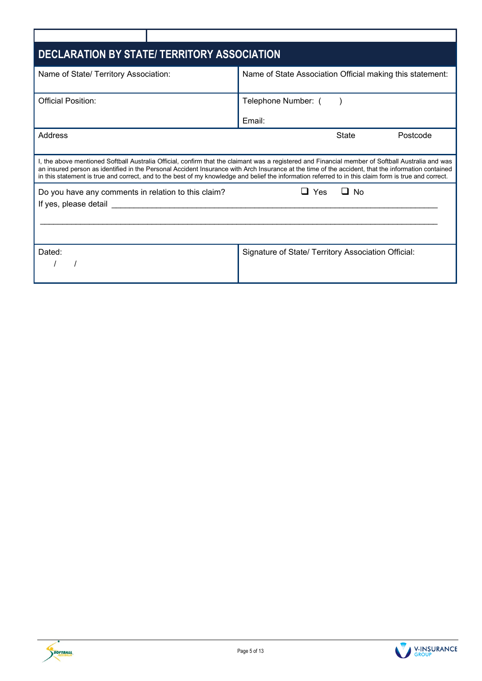| <b>DECLARATION BY STATE/ TERRITORY ASSOCIATION</b>                           |                                                                                                                                                                                                                                                                                                                                                                                                                                                                  |
|------------------------------------------------------------------------------|------------------------------------------------------------------------------------------------------------------------------------------------------------------------------------------------------------------------------------------------------------------------------------------------------------------------------------------------------------------------------------------------------------------------------------------------------------------|
| Name of State/ Territory Association:                                        | Name of State Association Official making this statement:                                                                                                                                                                                                                                                                                                                                                                                                        |
| Official Position:                                                           | Telephone Number: (<br>Email:                                                                                                                                                                                                                                                                                                                                                                                                                                    |
| Address                                                                      | State<br>Postcode                                                                                                                                                                                                                                                                                                                                                                                                                                                |
|                                                                              | I, the above mentioned Softball Australia Official, confirm that the claimant was a registered and Financial member of Softball Australia and was<br>an insured person as identified in the Personal Accident Insurance with Arch Insurance at the time of the accident, that the information contained<br>in this statement is true and correct, and to the best of my knowledge and belief the information referred to in this claim form is true and correct. |
| Do you have any comments in relation to this claim?<br>If yes, please detail | Yes<br><b>No</b>                                                                                                                                                                                                                                                                                                                                                                                                                                                 |
| Dated:                                                                       | Signature of State/ Territory Association Official:                                                                                                                                                                                                                                                                                                                                                                                                              |



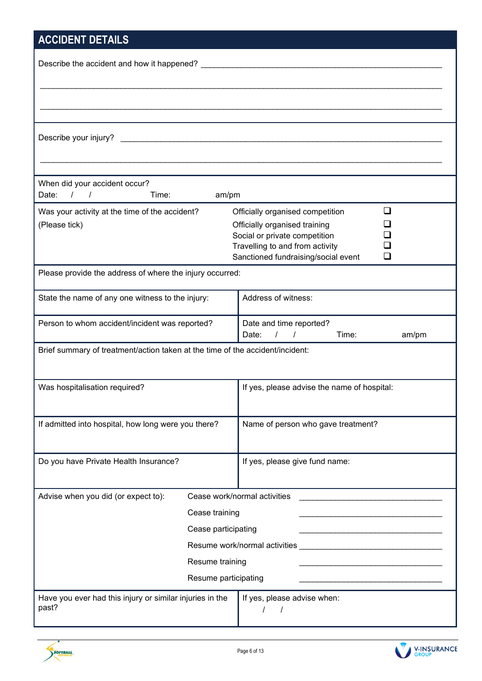# **ACCIDENT DETAILS**

| <b>AUVIDENT DETAILS</b>                                                       |                                                                        |
|-------------------------------------------------------------------------------|------------------------------------------------------------------------|
|                                                                               |                                                                        |
|                                                                               |                                                                        |
|                                                                               |                                                                        |
|                                                                               |                                                                        |
| Describe your injury?                                                         |                                                                        |
|                                                                               |                                                                        |
|                                                                               |                                                                        |
| When did your accident occur?<br>Date: $/$ /                                  |                                                                        |
| Time:<br>am/pm                                                                | l 1                                                                    |
| Was your activity at the time of the accident?<br>(Please tick)               | Officially organised competition<br>Officially organised training      |
|                                                                               | Social or private competition                                          |
|                                                                               | Travelling to and from activity<br>Sanctioned fundraising/social event |
| Please provide the address of where the injury occurred:                      |                                                                        |
|                                                                               |                                                                        |
| State the name of any one witness to the injury:                              | Address of witness:                                                    |
| Person to whom accident/incident was reported?                                | Date and time reported?                                                |
|                                                                               | Date: $/$ /<br>Time:<br>am/pm                                          |
| Brief summary of treatment/action taken at the time of the accident/incident: |                                                                        |
| Was hospitalisation required?                                                 | If yes, please advise the name of hospital:                            |
|                                                                               |                                                                        |
| If admitted into hospital, how long were you there?                           | Name of person who gave treatment?                                     |
|                                                                               |                                                                        |
| Do you have Private Health Insurance?                                         | If yes, please give fund name:                                         |
|                                                                               |                                                                        |
| Advise when you did (or expect to):                                           | Cease work/normal activities                                           |
|                                                                               |                                                                        |
| Cease training                                                                |                                                                        |
| Cease participating                                                           |                                                                        |
|                                                                               |                                                                        |
| Resume training                                                               |                                                                        |
| Resume participating                                                          |                                                                        |
| Have you ever had this injury or similar injuries in the<br>past?             | If yes, please advise when:                                            |
|                                                                               | $\prime$                                                               |



V-INSURANCE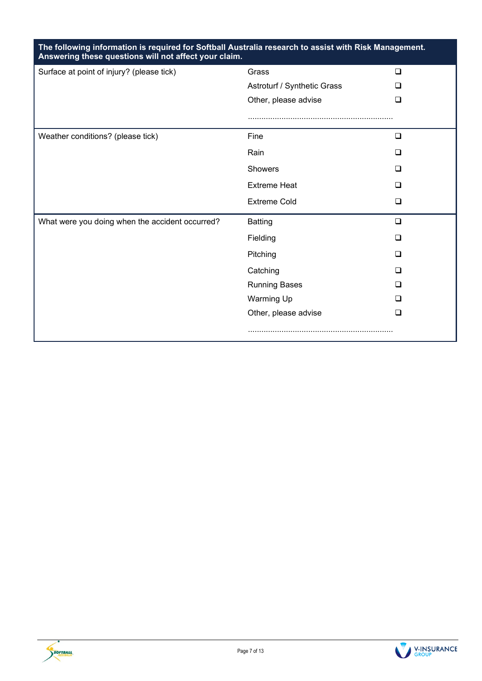| The following information is required for Softball Australia research to assist with Risk Management.<br>Answering these questions will not affect your claim. |                             |        |
|----------------------------------------------------------------------------------------------------------------------------------------------------------------|-----------------------------|--------|
| Surface at point of injury? (please tick)                                                                                                                      | Grass                       | $\Box$ |
|                                                                                                                                                                | Astroturf / Synthetic Grass | ப      |
|                                                                                                                                                                | Other, please advise        | ப      |
|                                                                                                                                                                |                             |        |
| Weather conditions? (please tick)                                                                                                                              | Fine                        | $\Box$ |
|                                                                                                                                                                | Rain                        | ◻      |
|                                                                                                                                                                | Showers                     | ◻      |
|                                                                                                                                                                | <b>Extreme Heat</b>         | □      |
|                                                                                                                                                                | <b>Extreme Cold</b>         | □      |
| What were you doing when the accident occurred?                                                                                                                | <b>Batting</b>              | $\Box$ |
|                                                                                                                                                                | Fielding                    | □      |
|                                                                                                                                                                | Pitching                    | □      |
|                                                                                                                                                                | Catching                    | □      |
|                                                                                                                                                                | <b>Running Bases</b>        | ப      |
|                                                                                                                                                                | <b>Warming Up</b>           | □      |
|                                                                                                                                                                | Other, please advise        | ◻      |
|                                                                                                                                                                |                             |        |



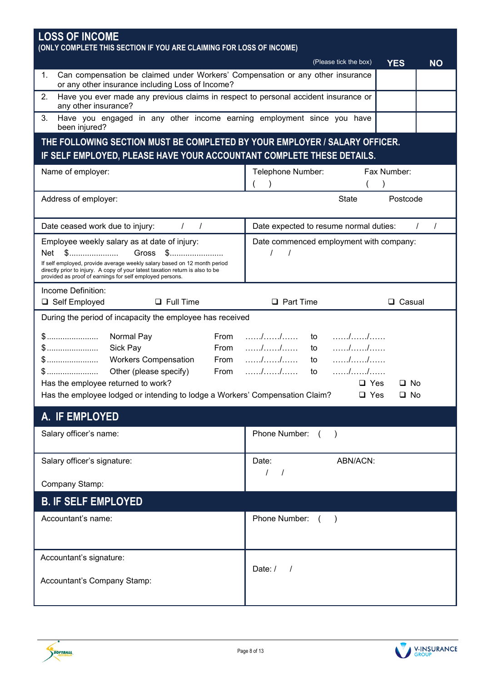| <b>LOSS OF INCOME</b><br>(ONLY COMPLETE THIS SECTION IF YOU ARE CLAIMING FOR LOSS OF INCOME)                                                                                                                          |                                                    |
|-----------------------------------------------------------------------------------------------------------------------------------------------------------------------------------------------------------------------|----------------------------------------------------|
|                                                                                                                                                                                                                       | (Please tick the box)<br><b>YES</b><br><b>NO</b>   |
| Can compensation be claimed under Workers' Compensation or any other insurance<br>1.<br>or any other insurance including Loss of Income?                                                                              |                                                    |
| 2.<br>Have you ever made any previous claims in respect to personal accident insurance or<br>any other insurance?                                                                                                     |                                                    |
| Have you engaged in any other income earning employment since you have<br>3.<br>been injured?                                                                                                                         |                                                    |
| THE FOLLOWING SECTION MUST BE COMPLETED BY YOUR EMPLOYER / SALARY OFFICER.                                                                                                                                            |                                                    |
| IF SELF EMPLOYED, PLEASE HAVE YOUR ACCOUNTANT COMPLETE THESE DETAILS.                                                                                                                                                 |                                                    |
| Name of employer:                                                                                                                                                                                                     | Telephone Number:<br>Fax Number:                   |
| Address of employer:                                                                                                                                                                                                  | Postcode<br><b>State</b>                           |
| $\sqrt{ }$<br>Date ceased work due to injury:<br>$\prime$                                                                                                                                                             | $\prime$<br>Date expected to resume normal duties: |
| Employee weekly salary as at date of injury:                                                                                                                                                                          | Date commenced employment with company:            |
| Gross \$<br>\$<br>Net                                                                                                                                                                                                 |                                                    |
| If self employed, provide average weekly salary based on 12 month period<br>directly prior to injury. A copy of your latest taxation return is also to be<br>provided as proof of earnings for self employed persons. |                                                    |
| Income Definition:                                                                                                                                                                                                    |                                                    |
| $\Box$ Full Time<br>□ Self Employed                                                                                                                                                                                   | $\Box$ Part Time<br>□ Casual                       |
| During the period of incapacity the employee has received                                                                                                                                                             |                                                    |
| Normal Pay<br>From                                                                                                                                                                                                    | to                                                 |
| Sick Pay<br>From                                                                                                                                                                                                      | to                                                 |
| <b>Workers Compensation</b><br>From<br>\$……………………<br>Other (please specify)<br>$$$<br>From                                                                                                                            | to<br>to                                           |
| Has the employee returned to work?                                                                                                                                                                                    | $\Box$ Yes<br>□ No                                 |
| Has the employee lodged or intending to lodge a Workers' Compensation Claim?                                                                                                                                          | $\Box$ Yes<br>$\square$ No                         |
| A. IF EMPLOYED                                                                                                                                                                                                        |                                                    |
| Salary officer's name:                                                                                                                                                                                                | Phone Number: ()                                   |
| Salary officer's signature:                                                                                                                                                                                           | ABN/ACN:<br>Date:                                  |
| Company Stamp:                                                                                                                                                                                                        |                                                    |
| <b>B. IF SELF EMPLOYED</b>                                                                                                                                                                                            |                                                    |
| Accountant's name:                                                                                                                                                                                                    | Phone Number:<br>$($ )                             |
| Accountant's signature:                                                                                                                                                                                               |                                                    |
|                                                                                                                                                                                                                       | Date:/<br>$\prime$                                 |
| Accountant's Company Stamp:                                                                                                                                                                                           |                                                    |



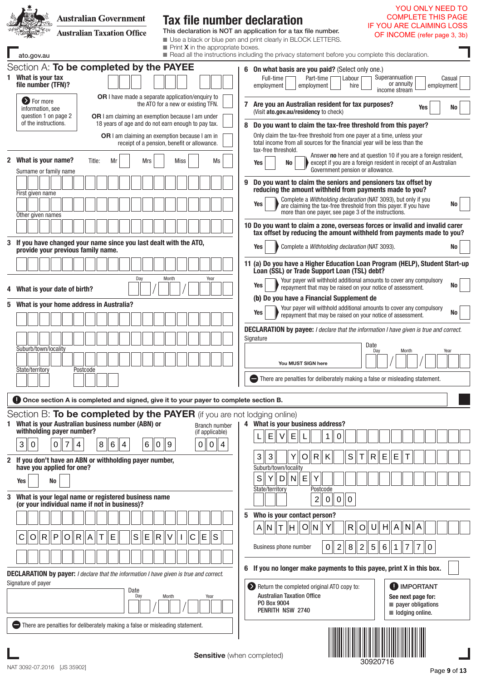| <b>Australian Government</b><br><b>Australian Taxation Office</b><br>ato.gov.au                                                                                                                                                                                                                                                                                                                                                                                                 | <b>Tax file number declaration</b><br><b>IF YOU ARE CLAIMING LOSS</b><br>This declaration is NOT an application for a tax file number.<br>OF INCOME (refer page 3, 3b)<br>Use a black or blue pen and print clearly in BLOCK LETTERS.<br>$\blacksquare$ Print <b>X</b> in the appropriate boxes.<br>Read all the instructions including the privacy statement before you complete this declaration.                                                                                                                                                                                                                                                                                                                                                                                                                                                                                                                      | YOU ONLY NEED TO<br>COMPLETE THIS PAGE |
|---------------------------------------------------------------------------------------------------------------------------------------------------------------------------------------------------------------------------------------------------------------------------------------------------------------------------------------------------------------------------------------------------------------------------------------------------------------------------------|--------------------------------------------------------------------------------------------------------------------------------------------------------------------------------------------------------------------------------------------------------------------------------------------------------------------------------------------------------------------------------------------------------------------------------------------------------------------------------------------------------------------------------------------------------------------------------------------------------------------------------------------------------------------------------------------------------------------------------------------------------------------------------------------------------------------------------------------------------------------------------------------------------------------------|----------------------------------------|
| Section A: To be completed by the PAYEE<br>1 What is your tax<br>file number (TFN)?<br><b>OR</b> I have made a separate application/enguiry to<br><b>D</b> For more<br>information, see<br>question 1 on page 2<br>OR I am claiming an exemption because I am under<br>of the instructions.<br>18 years of age and do not earn enough to pay tax.<br><b>OR</b> I am claiming an exemption because I am in                                                                       | 6 On what basis are you paid? (Select only one.)<br>Superannuation<br>Part-time [<br>Full-time<br>Labour<br>or annuity<br>hire<br>employment<br>employment<br>income stream<br>the ATO for a new or existing TFN.<br>7 Are you an Australian resident for tax purposes?<br>Yes<br>(Visit ato.gov.au/residency to check)<br>Do you want to claim the tax-free threshold from this payer?<br>8<br>Only claim the tax-free threshold from one payer at a time, unless your<br>total income from all sources for the financial year will be less than the<br>receipt of a pension, benefit or allowance.                                                                                                                                                                                                                                                                                                                     | Casual<br>employment<br>No             |
| 2 What is your name?<br>Title:<br>Mrs<br>Mr<br>Surname or family name<br>First given name<br>Other given names<br>3 If you have changed your name since you last dealt with the ATO,<br>provide your previous family name.                                                                                                                                                                                                                                                      | tax-free threshold.<br>Answer no here and at question 10 if you are a foreign resident,<br><b>Miss</b><br>Ms<br>except if you are a foreign resident in receipt of an Australian<br>Yes<br>No<br>Government pension or allowance.<br>Do you want to claim the seniors and pensioners tax offset by<br>9<br>reducing the amount withheld from payments made to you?<br>Complete a Withholding declaration (NAT 3093), but only if you<br>Yes<br>are claiming the tax-free threshold from this payer. If you have<br>more than one payer, see page 3 of the instructions.<br>10 Do you want to claim a zone, overseas forces or invalid and invalid carer<br>tax offset by reducing the amount withheld from payments made to you?<br>Complete a Withholding declaration (NAT 3093).<br>Yes<br>11 (a) Do you have a Higher Education Loan Program (HELP), Student Start-up<br>Loan (SSL) or Trade Support Loan (TSL) debt? | No<br>No                               |
| Day<br>4 What is your date of birth?<br>5 What is your home address in Australia?<br>Suburb/town/locality<br>State/territory<br>Postcode                                                                                                                                                                                                                                                                                                                                        | Month<br>Year<br>Your payer will withhold additional amounts to cover any compulsory<br>Yes<br>repayment that may be raised on your notice of assessment.<br>(b) Do you have a Financial Supplement de<br>Your payer will withhold additional amounts to cover any compulsory<br>Yes<br>repayment that may be raised on your notice of assessment.<br><b>DECLARATION by payee:</b> I declare that the information I have given is true and correct.<br>Signature<br>Date<br>Day<br>Month<br>You MUST SIGN here<br>There are penalties for deliberately making a false or misleading statement.                                                                                                                                                                                                                                                                                                                           | No<br>No<br>Year                       |
| <b>Once section A is completed and signed, give it to your payer to complete section B.</b><br>Section B: To be completed by the PAYER (if you are not lodging online)<br>What is your Australian business number (ABN) or<br>withholding payer number?<br>3 <sup>1</sup><br>$\pmb{0}$<br>8<br>6<br>6<br>$\mathbf 0$<br>7<br>$\vert 4 \vert$<br>4<br>$\overline{0}$<br>2 If you don't have an ABN or withholding payer number,<br>have you applied for one?<br><b>No</b><br>Yes | 4 What is your business address?<br>Branch number<br>(if applicable)<br>$\mathsf E$<br>E<br>V<br>1<br>0<br>∥9<br>$\vert 4$<br>$\mathbf 0$<br>0<br>$\mathbb S$<br>3<br>3<br>$\mathsf{R}$<br>$\mathsf{R}$<br>Е<br>$\circ$<br>Κ<br>Е<br>Suburb/town/locality<br>S<br>Y<br>D<br>$N \parallel E$<br>Y                                                                                                                                                                                                                                                                                                                                                                                                                                                                                                                                                                                                                         |                                        |
| 3 What is your legal name or registered business name<br>(or your individual name if not in business)?<br>$\mathsf E$<br>S<br>E<br> R  P<br>R  <br>$\circ$<br>$\mathsf{R}$<br>O<br>$\overline{A}$<br><b>DECLARATION by payer:</b> I declare that the information I have given is true and correct.                                                                                                                                                                              | State/territory<br>Postcode<br>$\mathbf 2$<br>$\pmb{0}$<br>$\mathsf{O}\xspace$<br>0<br>Who is your contact person?<br>5.<br> O <br>$A\ N\ T$<br>lН.<br>N<br>H∥<br>A<br>Y<br>R<br>U<br>A<br>  N<br>O<br>ls<br>E<br>$\overline{7}$<br>$\overline{2}$<br> 8 <br>$\overline{2}$<br>$\,$ 5 $\,$<br>$\boldsymbol{7}$<br>Business phone number<br>6<br>0<br>1<br>6 If you no longer make payments to this payee, print X in this box.                                                                                                                                                                                                                                                                                                                                                                                                                                                                                           | 0                                      |
| Signature of payer<br>Date<br>Day<br>There are penalties for deliberately making a false or misleading statement.                                                                                                                                                                                                                                                                                                                                                               | <b>D</b> IMPORTANT<br>Return the completed original ATO copy to:<br><b>Australian Taxation Office</b><br>See next page for:<br>Month<br>Year<br>P0 Box 9004<br>$\blacksquare$ payer obligations<br>PENRITH NSW 2740<br>$\blacksquare$ lodging online.<br><b>Sensitive</b> (when completed)<br>30920716                                                                                                                                                                                                                                                                                                                                                                                                                                                                                                                                                                                                                   |                                        |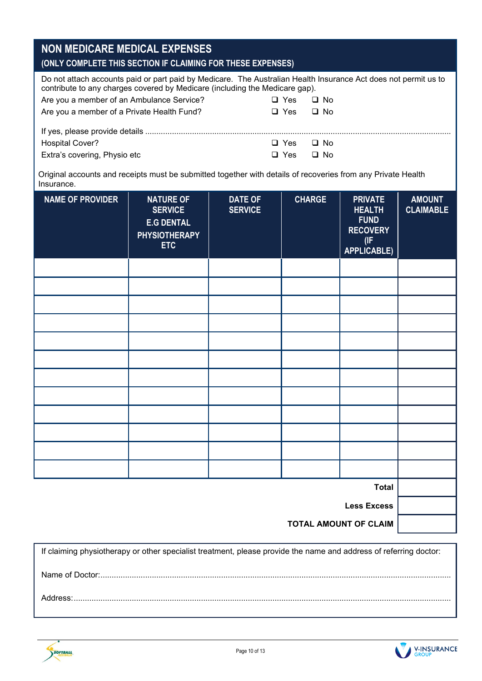| <b>NON MEDICARE MEDICAL EXPENSES</b><br>(ONLY COMPLETE THIS SECTION IF CLAIMING FOR THESE EXPENSES)                                                                                            |            |           |  |
|------------------------------------------------------------------------------------------------------------------------------------------------------------------------------------------------|------------|-----------|--|
| Do not attach accounts paid or part paid by Medicare. The Australian Health Insurance Act does not permit us to<br>contribute to any charges covered by Medicare (including the Medicare gap). |            |           |  |
| Are you a member of an Ambulance Service?                                                                                                                                                      | $\Box$ Yes | □ No      |  |
| Are you a member of a Private Health Fund?                                                                                                                                                     | $\Box$ Yes | ⊟ No      |  |
|                                                                                                                                                                                                |            |           |  |
| <b>Hospital Cover?</b>                                                                                                                                                                         | $\Box$ Yes | □ No      |  |
| Extra's covering, Physio etc                                                                                                                                                                   | Yes<br>ப   | $\Box$ No |  |

Original accounts and receipts must be submitted together with details of recoveries from any Private Health Insurance.

| <b>NAME OF PROVIDER</b> | <b>NATURE OF</b><br><b>SERVICE</b><br><b>E.G DENTAL</b><br><b>PHYSIOTHERAPY</b><br><b>ETC</b> | <b>DATE OF</b><br><b>SERVICE</b> | <b>CHARGE</b> | <b>PRIVATE</b><br><b>HEALTH</b><br><b>FUND</b><br><b>RECOVERY</b><br>(IF)<br><b>APPLICABLE)</b> | <b>AMOUNT</b><br><b>CLAIMABLE</b> |
|-------------------------|-----------------------------------------------------------------------------------------------|----------------------------------|---------------|-------------------------------------------------------------------------------------------------|-----------------------------------|
|                         |                                                                                               |                                  |               |                                                                                                 |                                   |
|                         |                                                                                               |                                  |               |                                                                                                 |                                   |
|                         |                                                                                               |                                  |               |                                                                                                 |                                   |
|                         |                                                                                               |                                  |               |                                                                                                 |                                   |
|                         |                                                                                               |                                  |               |                                                                                                 |                                   |
|                         |                                                                                               |                                  |               |                                                                                                 |                                   |
|                         |                                                                                               |                                  |               |                                                                                                 |                                   |
|                         |                                                                                               |                                  |               |                                                                                                 |                                   |
|                         |                                                                                               |                                  |               |                                                                                                 |                                   |
|                         |                                                                                               |                                  |               |                                                                                                 |                                   |
|                         |                                                                                               |                                  |               |                                                                                                 |                                   |
|                         |                                                                                               |                                  |               |                                                                                                 |                                   |
|                         |                                                                                               |                                  |               | <b>Total</b>                                                                                    |                                   |
|                         |                                                                                               |                                  |               | <b>Less Excess</b>                                                                              |                                   |

**TOTAL AMOUNT OF CLAIM**

If claiming physiotherapy or other specialist treatment, please provide the name and address of referring doctor: Name of Doctor:............................................................................................................................................................. Address:.........................................................................................................................................................................



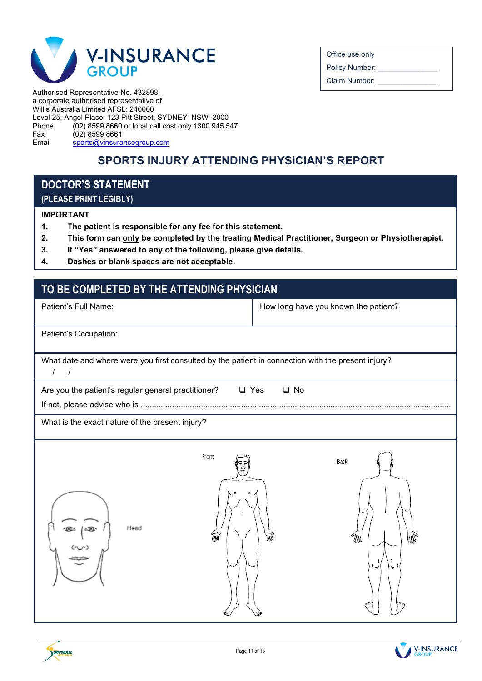

Office use only

Policy Number:

Claim Number:

Authorised Representative No. 432898 a corporate authorised representative of Willis Australia Limited AFSL: 240600 Level 25, Angel Place, 123 Pitt Street, SYDNEY NSW 2000 Phone (02) 8599 8660 or local call cost only 1300 945 547<br>Fax (02) 8599 8661 Fax  $(02)$  8599 8661<br>Email sports@vinsura [sports@vinsurancegroup.com](mailto:sports@vinsurancegroup.com)

### **SPORTS INJURY ATTENDING PHYSICIAN'S REPORT**

### **DOCTOR'S STATEMENT (PLEASE PRINT LEGIBLY)**

#### **IMPORTANT**

SOFTBALL

- **1. The patient is responsible for any fee for this statement.**
- **2. This form can only be completed by the treating Medical Practitioner, Surgeon or Physiotherapist.**
- **3. If "Yes" answered to any of the following, please give details.**
- **4. Dashes or blank spaces are not acceptable.**

### **TO BE COMPLETED BY THE ATTENDING PHYSICIAN**

| Patient's Full Name:                                                                                                                                                                                                                                                                                                                                                | How long have you known the patient? |
|---------------------------------------------------------------------------------------------------------------------------------------------------------------------------------------------------------------------------------------------------------------------------------------------------------------------------------------------------------------------|--------------------------------------|
| Patient's Occupation:                                                                                                                                                                                                                                                                                                                                               |                                      |
| What date and where were you first consulted by the patient in connection with the present injury?<br>$\prime$<br>$\prime$                                                                                                                                                                                                                                          |                                      |
| Are you the patient's regular general practitioner?<br>$\Box$ Yes                                                                                                                                                                                                                                                                                                   | $\square$ No                         |
| What is the exact nature of the present injury?                                                                                                                                                                                                                                                                                                                     |                                      |
| Front<br>Head<br>$\begin{picture}(120,15) \put(0,0){\line(1,0){155}} \put(15,0){\line(1,0){155}} \put(15,0){\line(1,0){155}} \put(15,0){\line(1,0){155}} \put(15,0){\line(1,0){155}} \put(15,0){\line(1,0){155}} \put(15,0){\line(1,0){155}} \put(15,0){\line(1,0){155}} \put(15,0){\line(1,0){155}} \put(15,0){\line(1,0){155}} \put(15,0){\line(1,0){155}}$<br>qм | Back<br>W<br>W<br>ہے ا<br>Y          |

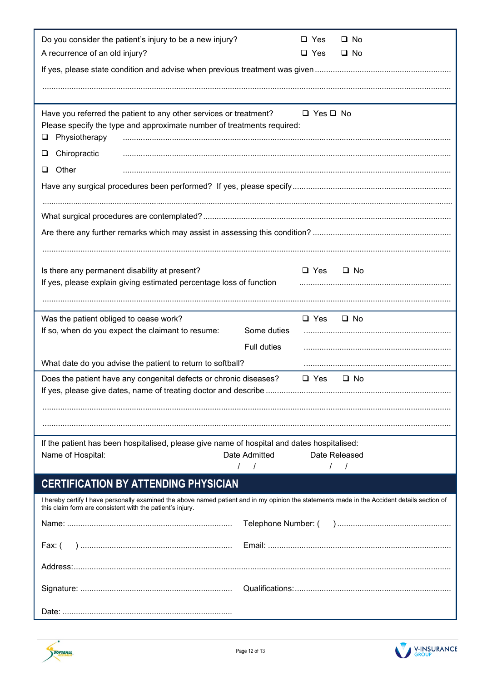| Do you consider the patient's injury to be a new injury?<br>A recurrence of an old injury?                                                                                                                |               | $\Box$ Yes<br>$\Box$ Yes | $\Box$ No<br>$\Box$ No |
|-----------------------------------------------------------------------------------------------------------------------------------------------------------------------------------------------------------|---------------|--------------------------|------------------------|
|                                                                                                                                                                                                           |               |                          |                        |
|                                                                                                                                                                                                           |               |                          |                        |
| Have you referred the patient to any other services or treatment?<br>Please specify the type and approximate number of treatments required:<br>Physiotherapy<br>⊔                                         |               | $\Box$ Yes $\Box$ No     |                        |
| Chiropractic<br>⊔                                                                                                                                                                                         |               |                          |                        |
| Other<br>u.                                                                                                                                                                                               |               |                          |                        |
|                                                                                                                                                                                                           |               |                          |                        |
|                                                                                                                                                                                                           |               |                          |                        |
|                                                                                                                                                                                                           |               |                          |                        |
|                                                                                                                                                                                                           |               |                          |                        |
| Is there any permanent disability at present?                                                                                                                                                             |               | $\Box$ Yes               | $\Box$ No              |
| If yes, please explain giving estimated percentage loss of function                                                                                                                                       |               |                          |                        |
|                                                                                                                                                                                                           |               |                          |                        |
| Was the patient obliged to cease work?<br>If so, when do you expect the claimant to resume:                                                                                                               | Some duties   | $\Box$ Yes               | $\Box$ No              |
|                                                                                                                                                                                                           | Full duties   |                          |                        |
| What date do you advise the patient to return to softball?                                                                                                                                                |               |                          |                        |
| Does the patient have any congenital defects or chronic diseases?                                                                                                                                         |               | $\Box$ Yes               | $\Box$ No              |
|                                                                                                                                                                                                           |               |                          |                        |
|                                                                                                                                                                                                           |               |                          |                        |
|                                                                                                                                                                                                           |               |                          |                        |
| If the patient has been hospitalised, please give name of hospital and dates hospitalised:<br>Name of Hospital:                                                                                           | Date Admitted | Date Released            |                        |
|                                                                                                                                                                                                           | $\frac{1}{2}$ |                          | $\prime$               |
| <b>CERTIFICATION BY ATTENDING PHYSICIAN</b>                                                                                                                                                               |               |                          |                        |
| I hereby certify I have personally examined the above named patient and in my opinion the statements made in the Accident details section of<br>this claim form are consistent with the patient's injury. |               |                          |                        |
|                                                                                                                                                                                                           |               |                          |                        |
| Fax: (                                                                                                                                                                                                    |               |                          |                        |
|                                                                                                                                                                                                           |               |                          |                        |
|                                                                                                                                                                                                           |               |                          |                        |
|                                                                                                                                                                                                           |               |                          |                        |



SOFTBALL